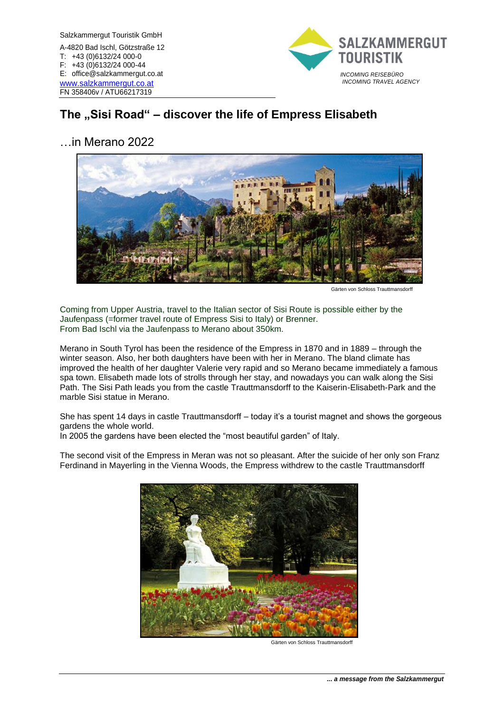

# The "Sisi Road" – discover the life of Empress Elisabeth

## …in Merano 2022



Gärten von Schloss Trauttmansdorff

Coming from Upper Austria, travel to the Italian sector of Sisi Route is possible either by the Jaufenpass (=former travel route of Empress Sisi to Italy) or Brenner. From Bad Ischl via the Jaufenpass to Merano about 350km.

Merano in South Tyrol has been the residence of the Empress in 1870 and in 1889 – through the winter season. Also, her both daughters have been with her in Merano. The bland climate has improved the health of her daughter Valerie very rapid and so Merano became immediately a famous spa town. Elisabeth made lots of strolls through her stay, and nowadays you can walk along the Sisi Path. The Sisi Path leads you from the castle Trauttmansdorff to the Kaiserin-Elisabeth-Park and the marble Sisi statue in Merano.

She has spent 14 days in castle Trauttmansdorff – today it's a tourist magnet and shows the gorgeous gardens the whole world.

In 2005 the gardens have been elected the "most beautiful garden" of Italy.

The second visit of the Empress in Meran was not so pleasant. After the suicide of her only son Franz Ferdinand in Mayerling in the Vienna Woods, the Empress withdrew to the castle Trauttmansdorff



Gärten von Schloss Trauttmansdorff